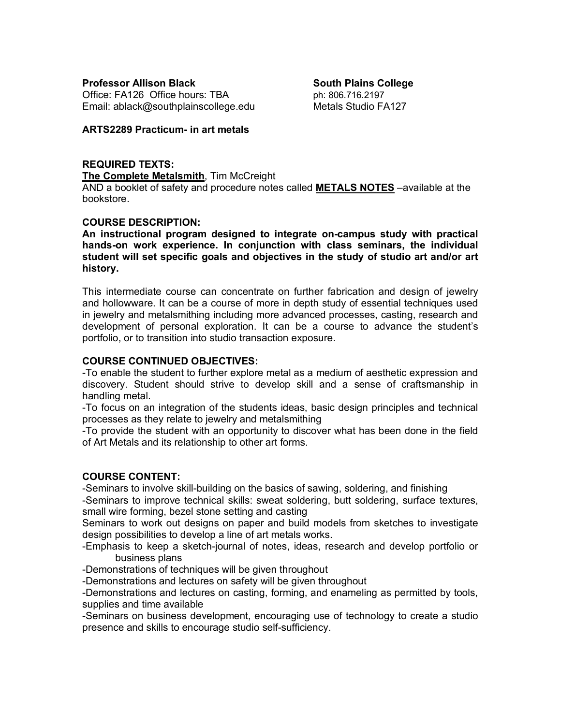**Professor Allison Black South Plains College** Office:  $FA126$  Office hours: TBA  $p_1$  ph: 806.716.2197 Email: ablack@southplainscollege.edu Metals Studio FA127

## **ARTS2289 Practicum- in art metals**

# **REQUIRED TEXTS:**

**The Complete Metalsmith**, Tim McCreight

AND a booklet of safety and procedure notes called **METALS NOTES** –available at the bookstore.

# **COURSE DESCRIPTION:**

**An instructional program designed to integrate on-campus study with practical hands-on work experience. In conjunction with class seminars, the individual student will set specific goals and objectives in the study of studio art and/or art history.**

This intermediate course can concentrate on further fabrication and design of jewelry and hollowware. It can be a course of more in depth study of essential techniques used in jewelry and metalsmithing including more advanced processes, casting, research and development of personal exploration. It can be a course to advance the student's portfolio, or to transition into studio transaction exposure.

## **COURSE CONTINUED OBJECTIVES:**

-To enable the student to further explore metal as a medium of aesthetic expression and discovery. Student should strive to develop skill and a sense of craftsmanship in handling metal.

-To focus on an integration of the students ideas, basic design principles and technical processes as they relate to jewelry and metalsmithing

-To provide the student with an opportunity to discover what has been done in the field of Art Metals and its relationship to other art forms.

# **COURSE CONTENT:**

-Seminars to involve skill-building on the basics of sawing, soldering, and finishing -Seminars to improve technical skills: sweat soldering, butt soldering, surface textures, small wire forming, bezel stone setting and casting

Seminars to work out designs on paper and build models from sketches to investigate design possibilities to develop a line of art metals works.

-Emphasis to keep a sketch-journal of notes, ideas, research and develop portfolio or business plans

-Demonstrations of techniques will be given throughout

-Demonstrations and lectures on safety will be given throughout

-Demonstrations and lectures on casting, forming, and enameling as permitted by tools, supplies and time available

-Seminars on business development, encouraging use of technology to create a studio presence and skills to encourage studio self-sufficiency.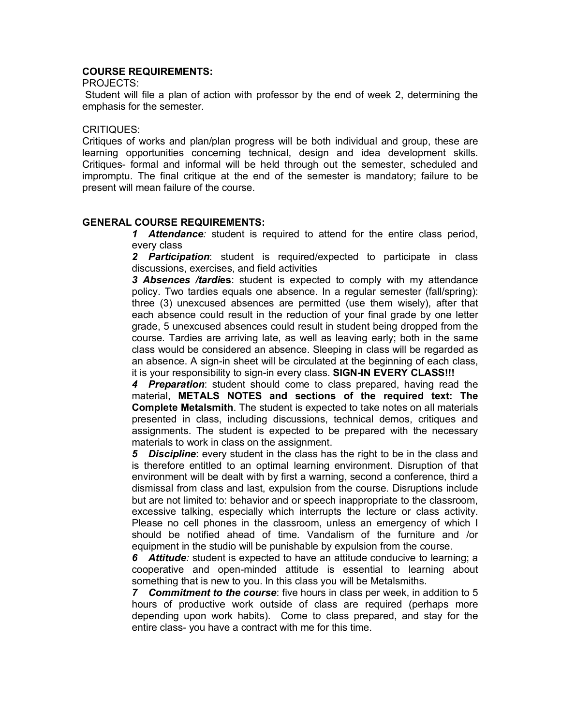# **COURSE REQUIREMENTS:**

PROJECTS:

Student will file a plan of action with professor by the end of week 2, determining the emphasis for the semester.

#### CRITIQUES:

Critiques of works and plan/plan progress will be both individual and group, these are learning opportunities concerning technical, design and idea development skills. Critiques- formal and informal will be held through out the semester, scheduled and impromptu. The final critique at the end of the semester is mandatory; failure to be present will mean failure of the course.

# **GENERAL COURSE REQUIREMENTS:**

*1 Attendance:* student is required to attend for the entire class period, every class

*2 Participation*: student is required/expected to participate in class discussions, exercises, and field activities

*3 Absences /tardi***es**: student is expected to comply with my attendance policy. Two tardies equals one absence. In a regular semester (fall/spring): three (3) unexcused absences are permitted (use them wisely), after that each absence could result in the reduction of your final grade by one letter grade, 5 unexcused absences could result in student being dropped from the course. Tardies are arriving late, as well as leaving early; both in the same class would be considered an absence. Sleeping in class will be regarded as an absence. A sign-in sheet will be circulated at the beginning of each class, it is your responsibility to sign-in every class. **SIGN-IN EVERY CLASS!!!**

*4 Preparation*: student should come to class prepared, having read the material, **METALS NOTES and sections of the required text: The Complete Metalsmith**. The student is expected to take notes on all materials presented in class, including discussions, technical demos, critiques and assignments. The student is expected to be prepared with the necessary materials to work in class on the assignment.

*5 Discipline*: every student in the class has the right to be in the class and is therefore entitled to an optimal learning environment. Disruption of that environment will be dealt with by first a warning, second a conference, third a dismissal from class and last, expulsion from the course. Disruptions include but are not limited to: behavior and or speech inappropriate to the classroom, excessive talking, especially which interrupts the lecture or class activity. Please no cell phones in the classroom, unless an emergency of which I should be notified ahead of time. Vandalism of the furniture and /or equipment in the studio will be punishable by expulsion from the course.

*6 Attitude:* student is expected to have an attitude conducive to learning; a cooperative and open-minded attitude is essential to learning about something that is new to you. In this class you will be Metalsmiths.

*7 Commitment to the course*: five hours in class per week, in addition to 5 hours of productive work outside of class are required (perhaps more depending upon work habits). Come to class prepared, and stay for the entire class- you have a contract with me for this time.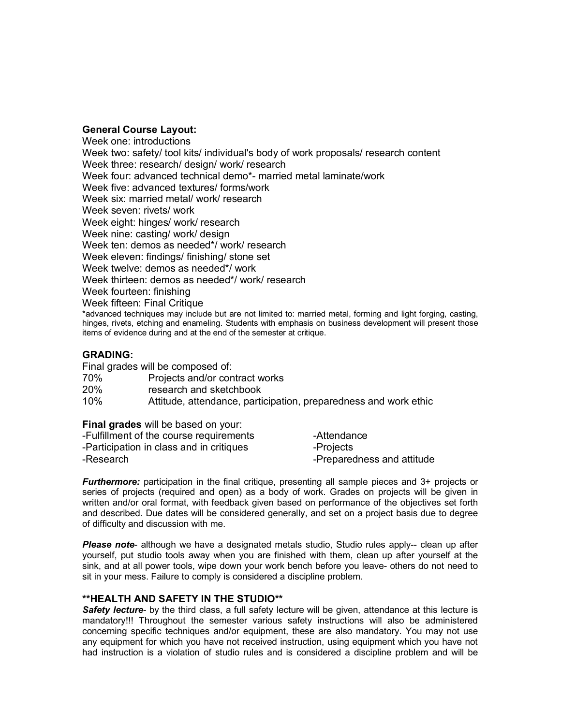#### **General Course Layout:**

Week one: introductions Week two: safety/ tool kits/ individual's body of work proposals/ research content Week three: research/ design/ work/ research Week four: advanced technical demo\*- married metal laminate/work Week five: advanced textures/ forms/work Week six: married metal/ work/ research Week seven: rivets/ work Week eight: hinges/ work/ research Week nine: casting/work/ design Week ten: demos as needed\*/ work/ research Week eleven: findings/ finishing/ stone set Week twelve: demos as needed\*/ work Week thirteen: demos as needed\*/ work/ research Week fourteen: finishing Week fifteen: Final Critique \*advanced techniques may include but are not limited to: married metal, forming and light forging, casting, hinges, rivets, etching and enameling. Students with emphasis on business development will present those items of evidence during and at the end of the semester at critique.

## **GRADING:**

Final grades will be composed of:

| 70% | Projects and/or contract works |  |
|-----|--------------------------------|--|
|     |                                |  |

20% research and sketchbook

10% Attitude, attendance, participation, preparedness and work ethic

**Final grades** will be based on your:

| -Fulfillment of the course requirements  | -Attendance                |
|------------------------------------------|----------------------------|
| -Participation in class and in critiques | -Projects                  |
| -Research                                | -Preparedness and attitude |

*Furthermore:* participation in the final critique, presenting all sample pieces and 3+ projects or series of projects (required and open) as a body of work. Grades on projects will be given in written and/or oral format, with feedback given based on performance of the objectives set forth and described. Due dates will be considered generally, and set on a project basis due to degree of difficulty and discussion with me.

*Please note*- although we have a designated metals studio, Studio rules apply-- clean up after yourself, put studio tools away when you are finished with them, clean up after yourself at the sink, and at all power tools, wipe down your work bench before you leave- others do not need to sit in your mess. Failure to comply is considered a discipline problem.

## **\*\*HEALTH AND SAFETY IN THE STUDIO\*\***

*Safety lecture*- by the third class, a full safety lecture will be given, attendance at this lecture is mandatory!!! Throughout the semester various safety instructions will also be administered concerning specific techniques and/or equipment, these are also mandatory. You may not use any equipment for which you have not received instruction, using equipment which you have not had instruction is a violation of studio rules and is considered a discipline problem and will be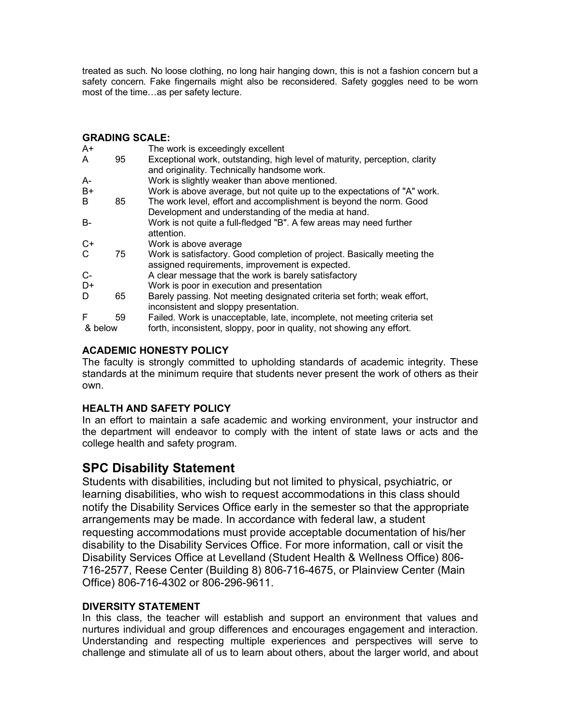treated as such. No loose clothing, no long hair hanging down, this is not a fashion concern but a safety concern. Fake fingernails might also be reconsidered. Safety goggles need to be worn most of the time…as per safety lecture.

# **GRADING SCALE:**

| $A+$      |    | The work is exceedingly excellent                                          |
|-----------|----|----------------------------------------------------------------------------|
| A         | 95 | Exceptional work, outstanding, high level of maturity, perception, clarity |
|           |    | and originality. Technically handsome work.                                |
| A-        |    | Work is slightly weaker than above mentioned.                              |
| $B+$      |    | Work is above average, but not quite up to the expectations of "A" work.   |
| B         | 85 | The work level, effort and accomplishment is beyond the norm. Good         |
|           |    | Development and understanding of the media at hand.                        |
| <b>B-</b> |    | Work is not quite a full-fledged "B". A few areas may need further         |
|           |    | attention.                                                                 |
| $C+$      |    | Work is above average                                                      |
| C         | 75 | Work is satisfactory. Good completion of project. Basically meeting the    |
|           |    | assigned requirements, improvement is expected.                            |
| $C-$      |    | A clear message that the work is barely satisfactory                       |
| D+        |    | Work is poor in execution and presentation                                 |
| D         | 65 | Barely passing. Not meeting designated criteria set forth; weak effort,    |
|           |    | inconsistent and sloppy presentation.                                      |
| F         | 59 | Failed. Work is unacceptable, late, incomplete, not meeting criteria set   |
| & below   |    | forth, inconsistent, sloppy, poor in quality, not showing any effort.      |
|           |    |                                                                            |

# **ACADEMIC HONESTY POLICY**

The faculty is strongly committed to upholding standards of academic integrity. These standards at the minimum require that students never present the work of others as their own.

# **HEALTH AND SAFETY POLICY**

In an effort to maintain a safe academic and working environment, your instructor and the department will endeavor to comply with the intent of state laws or acts and the college health and safety program.

# **SPC Disability Statement**

Students with disabilities, including but not limited to physical, psychiatric, or learning disabilities, who wish to request accommodations in this class should notify the Disability Services Office early in the semester so that the appropriate arrangements may be made. In accordance with federal law, a student requesting accommodations must provide acceptable documentation of his/her disability to the Disability Services Office. For more information, call or visit the Disability Services Office at Levelland (Student Health & Wellness Office) 806- 716-2577, Reese Center (Building 8) 806-716-4675, or Plainview Center (Main Office) 806-716-4302 or 806-296-9611.

# **DIVERSITY STATEMENT**

In this class, the teacher will establish and support an environment that values and nurtures individual and group differences and encourages engagement and interaction. Understanding and respecting multiple experiences and perspectives will serve to challenge and stimulate all of us to learn about others, about the larger world, and about